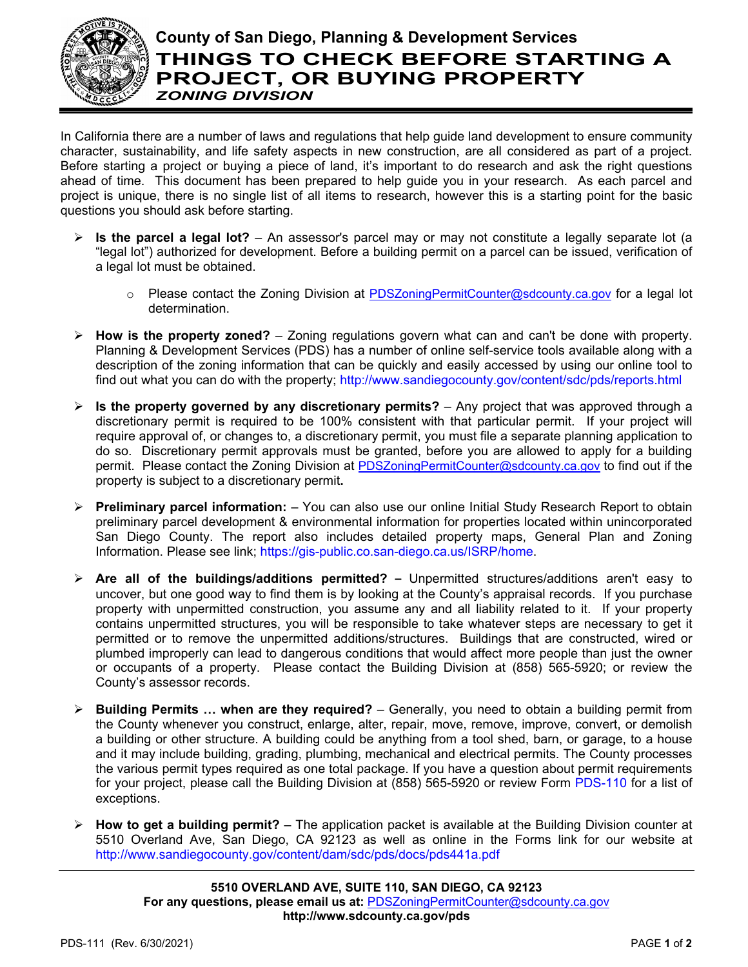

## **County of San Diego, Planning & Development Services THINGS TO CHECK BEFORE STARTING A PROJECT, OR BUYING PROPERTY** *ZONING DIVISION*

In California there are a number of laws and regulations that help guide land development to ensure community character, sustainability, and life safety aspects in new construction, are all considered as part of a project. Before starting a project or buying a piece of land, it's important to do research and ask the right questions ahead of time. This document has been prepared to help guide you in your research. As each parcel and project is unique, there is no single list of all items to research, however this is a starting point for the basic questions you should ask before starting.

- **Ex** Is the parcel a legal lot? An assessor's parcel may or may not constitute a legally separate lot (a "legal lot") authorized for development. Before a building permit on a parcel can be issued, verification of a legal lot must be obtained.
	- $\circ$  Please contact the Zoning Division at [PDSZoningPermitCounter@sdcounty.ca.gov](mailto:PDSZoningPermitCounter@sdcounty.ca.gov) for a legal lot determination.
- **How is the property zoned?** Zoning regulations govern what can and can't be done with property. Planning & Development Services (PDS) has a number of online self-service tools available along with a description of the zoning information that can be quickly and easily accessed by using our online tool to find out what you can do with the property;<http://www.sandiegocounty.gov/content/sdc/pds/reports.html>
- **Is the property governed by any discretionary permits?** Any project that was approved through a discretionary permit is required to be 100% consistent with that particular permit. If your project will require approval of, or changes to, a discretionary permit, you must file a separate planning application to do so. Discretionary permit approvals must be granted, before you are allowed to apply for a building permit. Please contact the Zoning Division at [PDSZoningPermitCounter@sdcounty.ca.gov](mailto:PDSZoningPermitCounter@sdcounty.ca.gov) to find out if the property is subject to a discretionary permit**.**
- **Preliminary parcel information:** You can also use our online [Initial Study Research Report](https://gis-public.co.san-diego.ca.us/isrp/default.aspx) to obtain preliminary parcel development & environmental information for properties located within unincorporated San Diego County. The report also includes detailed property maps, General Plan and Zoning Information. Please see link; [https://gis-public.co.san-diego.ca.us/ISRP/home.](https://gis-public.co.san-diego.ca.us/ISRP/home)
- **Are all of the buildings/additions permitted? –** Unpermitted structures/additions aren't easy to uncover, but one good way to find them is by looking at the County's appraisal records. If you purchase property with unpermitted construction, you assume any and all liability related to it. If your property contains unpermitted structures, you will be responsible to take whatever steps are necessary to get it permitted or to remove the unpermitted additions/structures. Buildings that are constructed, wired or plumbed improperly can lead to dangerous conditions that would affect more people than just the owner or occupants of a property. Please contact the Building Division at (858) 565-5920; or review the County's assessor records.
- **Building Permits … when are they required?** Generally, you need to obtain a building permit from the County whenever you construct, enlarge, alter, repair, move, remove, improve, convert, or demolish a building or other structure. A building could be anything from a tool shed, barn, or garage, to a house and it may include building, grading, plumbing, mechanical and electrical permits. The County processes the various permit types required as one total package. If you have a question about permit requirements for your project, please call the Building Division at (858) 565-5920 or review Form [PDS-110](https://www.sandiegocounty.gov/content/dam/sdc/pds/docs/pds110.pdf) for a list of exceptions.
- **How to get a building permit?** The application packet is available at the Building Division counter at 5510 Overland Ave, San Diego, CA 92123 as well as online in the Forms link for our website at <http://www.sandiegocounty.gov/content/dam/sdc/pds/docs/pds441a.pdf>